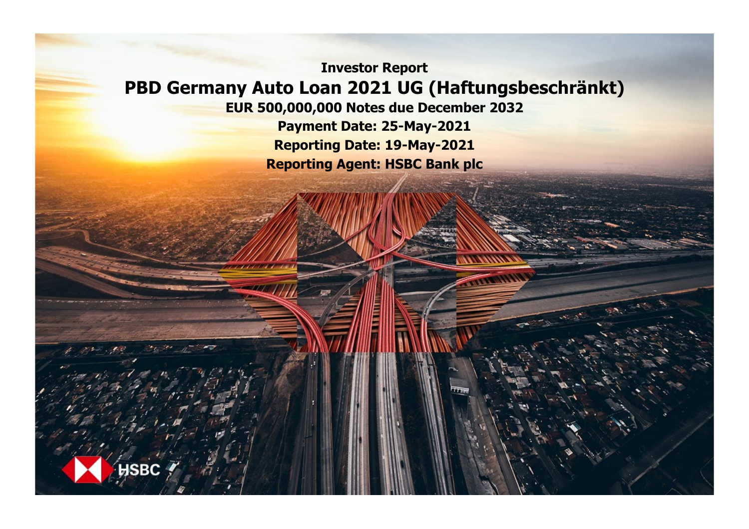**Investor Report PBD Germany Auto Loan 2021 UG (Haftungsbeschränkt)**

**EUR 500,000,000 Notes due December 2032**

**Payment Date: 25-May-2021 Reporting Date: 19-May-2021 Reporting Agent: HSBC Bank plc**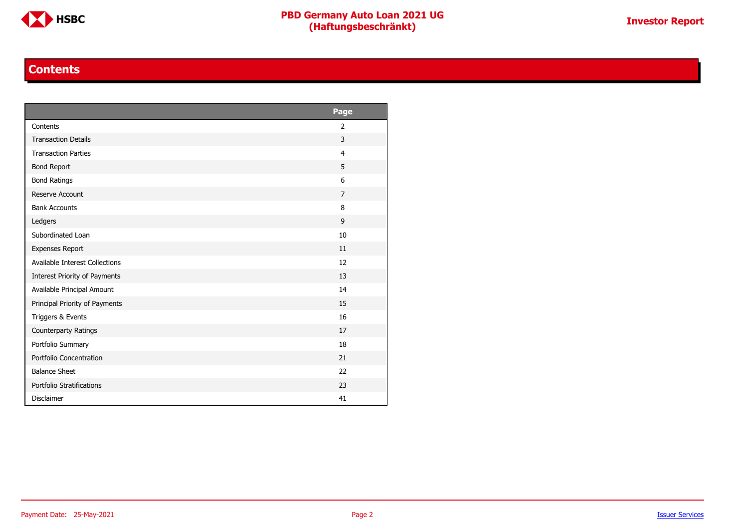

#### **Contents**

<span id="page-1-0"></span>

|                                | Page           |
|--------------------------------|----------------|
| Contents                       | 2              |
| <b>Transaction Details</b>     | 3              |
| <b>Transaction Parties</b>     | $\overline{4}$ |
| <b>Bond Report</b>             | 5              |
| <b>Bond Ratings</b>            | 6              |
| Reserve Account                | $\overline{7}$ |
| <b>Bank Accounts</b>           | 8              |
| Ledgers                        | 9              |
| Subordinated Loan              | 10             |
| <b>Expenses Report</b>         | 11             |
| Available Interest Collections | 12             |
| Interest Priority of Payments  | 13             |
| Available Principal Amount     | 14             |
| Principal Priority of Payments | 15             |
| Triggers & Events              | 16             |
| Counterparty Ratings           | 17             |
| Portfolio Summary              | 18             |
| Portfolio Concentration        | 21             |
| <b>Balance Sheet</b>           | 22             |
| Portfolio Stratifications      | 23             |
| <b>Disclaimer</b>              | 41             |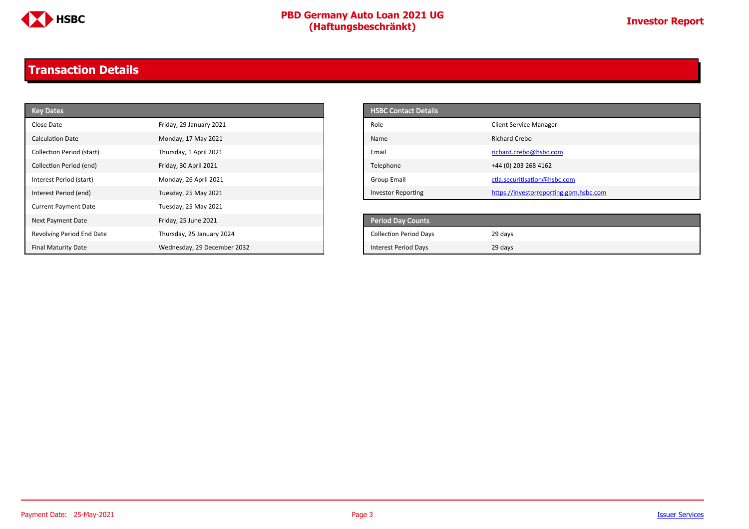

### <span id="page-2-0"></span>**Transaction Details**

| <b>Key Dates</b>            |                             | <b>HSBC Contact Details</b>   |                                        |
|-----------------------------|-----------------------------|-------------------------------|----------------------------------------|
| Close Date                  | Friday, 29 January 2021     | Role                          | <b>Client Service Manager</b>          |
| <b>Calculation Date</b>     | Monday, 17 May 2021         | Name                          | <b>Richard Crebo</b>                   |
| Collection Period (start)   | Thursday, 1 April 2021      | Email                         | richard.crebo@hsbc.com                 |
| Collection Period (end)     | Friday, 30 April 2021       | Telephone                     | +44 (0) 203 268 4162                   |
| Interest Period (start)     | Monday, 26 April 2021       | <b>Group Email</b>            | ctla.securitisation@hsbc.com           |
| Interest Period (end)       | Tuesday, 25 May 2021        | <b>Investor Reporting</b>     | https://investorreporting.gbm.hsbc.com |
| <b>Current Payment Date</b> | Tuesday, 25 May 2021        |                               |                                        |
| Next Payment Date           | Friday, 25 June 2021        | Period Day Counts             |                                        |
| Revolving Period End Date   | Thursday, 25 January 2024   | <b>Collection Period Days</b> | 29 days                                |
| <b>Final Maturity Date</b>  | Wednesday, 29 December 2032 | <b>Interest Period Days</b>   | 29 days                                |

| <b>HSBC Contact Details</b> |                                        |
|-----------------------------|----------------------------------------|
| Role                        | <b>Client Service Manager</b>          |
| Name                        | Richard Crebo                          |
| Email                       | richard.crebo@hsbc.com                 |
| Telephone                   | +44 (0) 203 268 4162                   |
| Group Email                 | ctla.securitisation@hsbc.com           |
| <b>Investor Reporting</b>   | https://investorreporting.gbm.hsbc.com |

| <b>Period Day Counts</b>      |         |  |
|-------------------------------|---------|--|
| <b>Collection Period Days</b> | 29 days |  |
| <b>Interest Period Days</b>   | 29 days |  |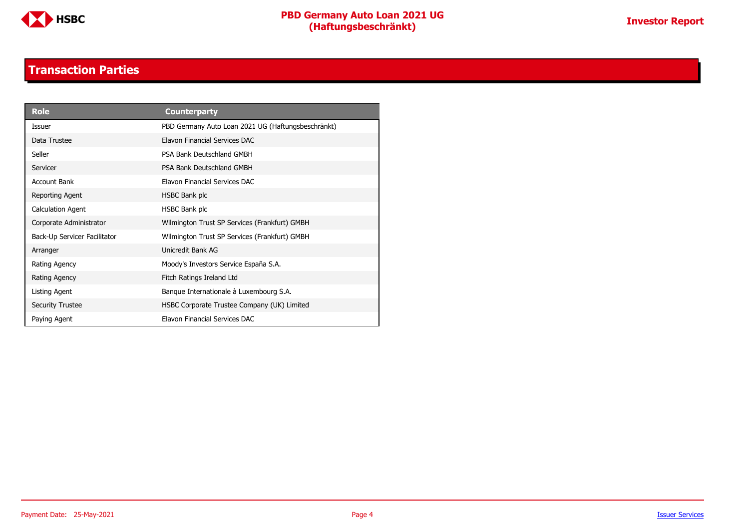

#### **Transaction Parties**

<span id="page-3-0"></span>

| <b>Role</b>                  | <b>Counterparty</b>                                |
|------------------------------|----------------------------------------------------|
| Issuer                       | PBD Germany Auto Loan 2021 UG (Haftungsbeschränkt) |
| Data Trustee                 | Elavon Financial Services DAC                      |
| Seller                       | PSA Bank Deutschland GMBH                          |
| Servicer                     | PSA Bank Deutschland GMBH                          |
| Account Bank                 | Elavon Financial Services DAC                      |
| Reporting Agent              | HSBC Bank plc                                      |
| <b>Calculation Agent</b>     | HSBC Bank plc                                      |
| Corporate Administrator      | Wilmington Trust SP Services (Frankfurt) GMBH      |
| Back-Up Servicer Facilitator | Wilmington Trust SP Services (Frankfurt) GMBH      |
| Arranger                     | Unicredit Bank AG                                  |
| Rating Agency                | Moody's Investors Service España S.A.              |
| Rating Agency                | Fitch Ratings Ireland Ltd                          |
| Listing Agent                | Banque Internationale à Luxembourg S.A.            |
| <b>Security Trustee</b>      | HSBC Corporate Trustee Company (UK) Limited        |
| Paying Agent                 | Elavon Financial Services DAC                      |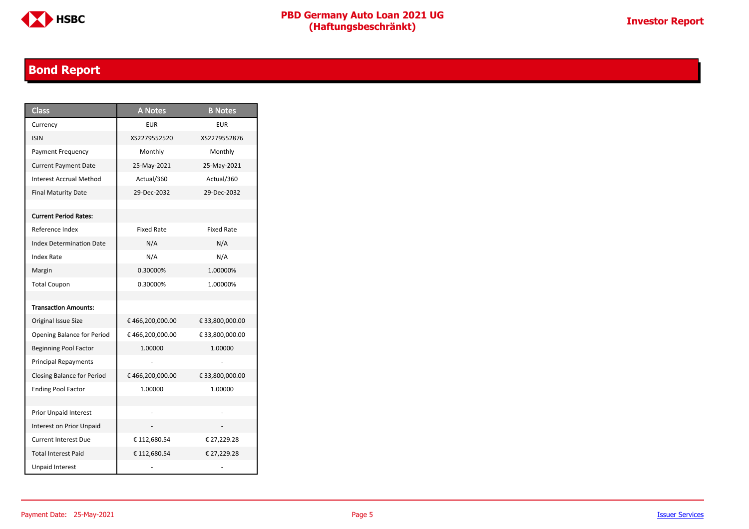

### <span id="page-4-0"></span>**Bond Report**

| <b>Class</b>                      | <b>A</b> Notes    | <b>B</b> Notes    |
|-----------------------------------|-------------------|-------------------|
| Currency                          | EUR               | <b>EUR</b>        |
| <b>ISIN</b>                       | XS2279552520      | XS2279552876      |
| Payment Frequency                 | Monthly           | Monthly           |
| <b>Current Payment Date</b>       | 25-May-2021       | 25-May-2021       |
| Interest Accrual Method           | Actual/360        | Actual/360        |
| <b>Final Maturity Date</b>        | 29-Dec-2032       | 29-Dec-2032       |
|                                   |                   |                   |
| <b>Current Period Rates:</b>      |                   |                   |
| Reference Index                   | <b>Fixed Rate</b> | <b>Fixed Rate</b> |
| <b>Index Determination Date</b>   | N/A               | N/A               |
| Index Rate                        | N/A               | N/A               |
| Margin                            | 0.30000%          | 1.00000%          |
| <b>Total Coupon</b>               | 0.30000%          | 1.00000%          |
|                                   |                   |                   |
| <b>Transaction Amounts:</b>       |                   |                   |
| Original Issue Size               | €466,200,000.00   | € 33,800,000.00   |
| Opening Balance for Period        | €466,200,000.00   | € 33,800,000.00   |
| <b>Beginning Pool Factor</b>      | 1.00000           | 1.00000           |
| <b>Principal Repayments</b>       |                   |                   |
| <b>Closing Balance for Period</b> | € 466,200,000.00  | € 33,800,000.00   |
| <b>Ending Pool Factor</b>         | 1.00000           | 1.00000           |
|                                   |                   |                   |
| Prior Unpaid Interest             |                   |                   |
| Interest on Prior Unpaid          |                   |                   |
| <b>Current Interest Due</b>       | € 112,680.54      | € 27,229.28       |
| <b>Total Interest Paid</b>        | € 112,680.54      | € 27,229.28       |
| <b>Unpaid Interest</b>            |                   |                   |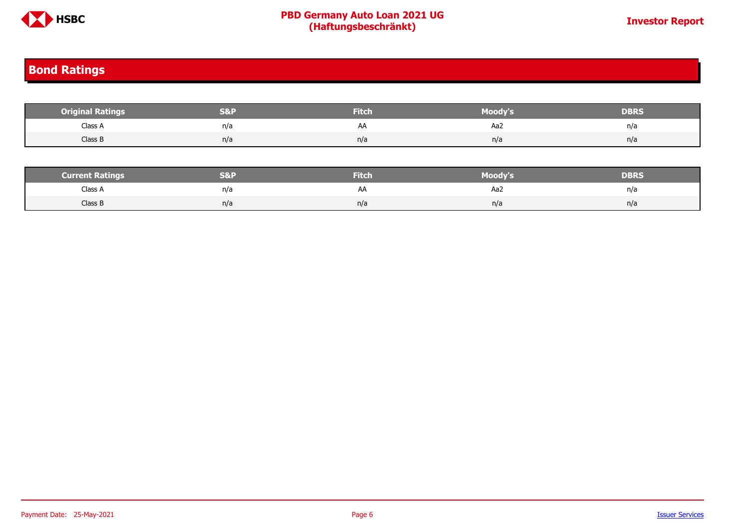

#### <span id="page-5-0"></span>**Bond Ratings**

| <b>Original Ratings</b> | <b>S&amp;F</b> | <b>Fitch</b> | <b>Moody's</b> | <b>DBRS</b> |
|-------------------------|----------------|--------------|----------------|-------------|
| Class A                 | n/a            | AA           | Aa2            | n/a         |
| Class B                 | n/a            | n/a          | n/a            | n/a         |
|                         |                |              |                |             |

| <b>Current Ratings</b> | 89.D<br>⇒ I ∿` ∥ ≀ | <b>Fitch</b> | Moody's | DERS |
|------------------------|--------------------|--------------|---------|------|
| Class A                | n/a                | AΆ           | Aa2     | n/a  |
| Class B                | n/a                | n/a          | n/a     | n/a  |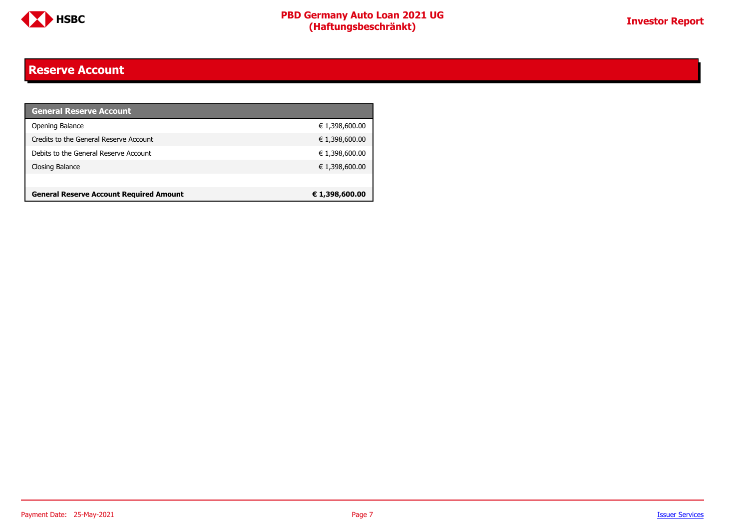

#### <span id="page-6-0"></span>**Reserve Account**

| <b>General Reserve Account</b>                 |                |
|------------------------------------------------|----------------|
| Opening Balance                                | € 1,398,600.00 |
| Credits to the General Reserve Account         | € 1,398,600.00 |
| Debits to the General Reserve Account          | € 1,398,600.00 |
| Closing Balance                                | € 1,398,600.00 |
|                                                |                |
| <b>General Reserve Account Required Amount</b> | € 1,398,600.00 |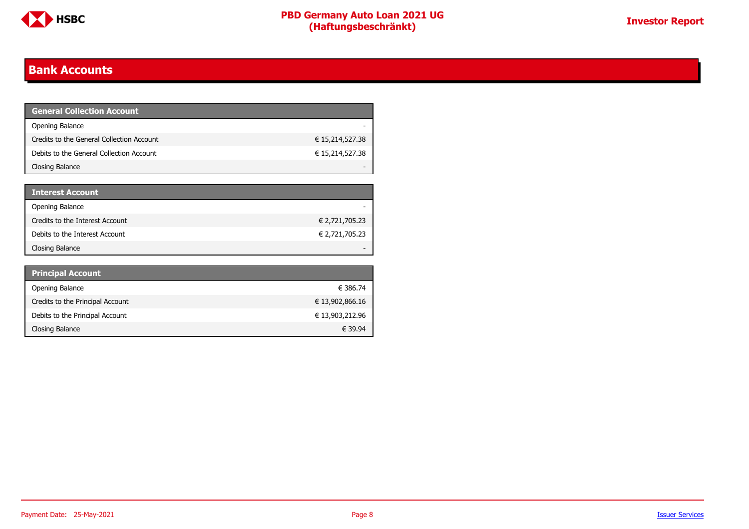

#### <span id="page-7-0"></span>**Bank Accounts**

| <b>General Collection Account</b>         |                 |
|-------------------------------------------|-----------------|
| Opening Balance                           |                 |
| Credits to the General Collection Account | € 15,214,527.38 |
| Debits to the General Collection Account  | € 15,214,527.38 |
| Closing Balance                           |                 |

| <b>Interest Account</b>         |                |
|---------------------------------|----------------|
| Opening Balance                 |                |
| Credits to the Interest Account | € 2,721,705.23 |
| Debits to the Interest Account  | € 2,721,705.23 |
| Closing Balance                 |                |

| <b>Principal Account</b>         |                 |
|----------------------------------|-----------------|
| Opening Balance                  | € 386.74        |
| Credits to the Principal Account | € 13,902,866.16 |
| Debits to the Principal Account  | € 13,903,212.96 |
| Closing Balance                  | € 39.94         |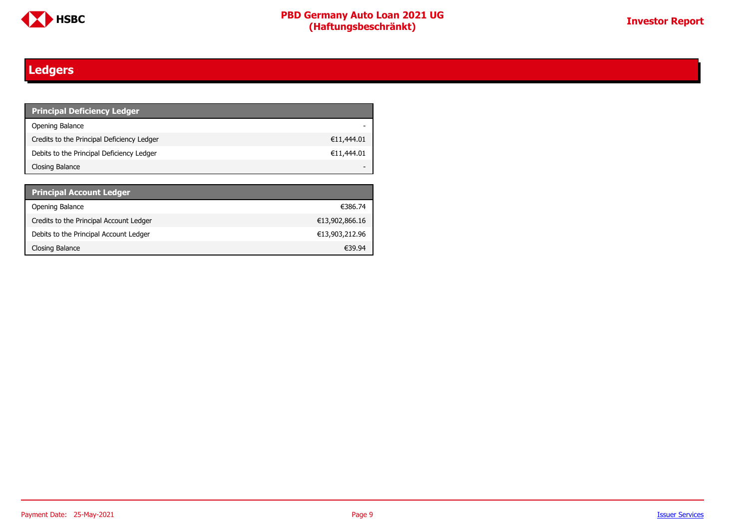

### <span id="page-8-0"></span>**Ledgers**

| <b>Principal Deficiency Ledger</b>         |            |
|--------------------------------------------|------------|
| Opening Balance                            |            |
| Credits to the Principal Deficiency Ledger | €11,444.01 |
| Debits to the Principal Deficiency Ledger  | €11,444.01 |
| Closing Balance                            |            |

| <b>Principal Account Ledger</b>         |                |
|-----------------------------------------|----------------|
| Opening Balance                         | €386.74        |
| Credits to the Principal Account Ledger | €13,902,866.16 |
| Debits to the Principal Account Ledger  | €13,903,212.96 |
| Closing Balance                         | €39.94         |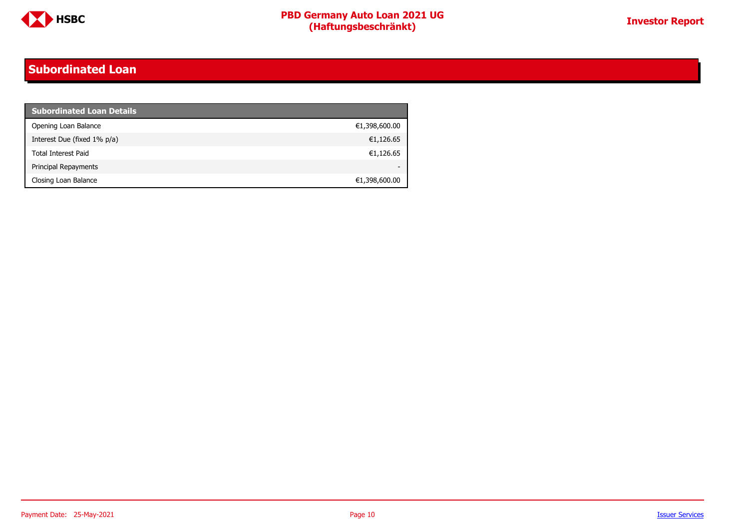

#### <span id="page-9-0"></span>**Subordinated Loan**

| <b>Subordinated Loan Details</b> |               |
|----------------------------------|---------------|
| Opening Loan Balance             | €1,398,600.00 |
| Interest Due (fixed 1% p/a)      | €1,126.65     |
| <b>Total Interest Paid</b>       | €1,126.65     |
| Principal Repayments             |               |
| Closing Loan Balance             | €1,398,600.00 |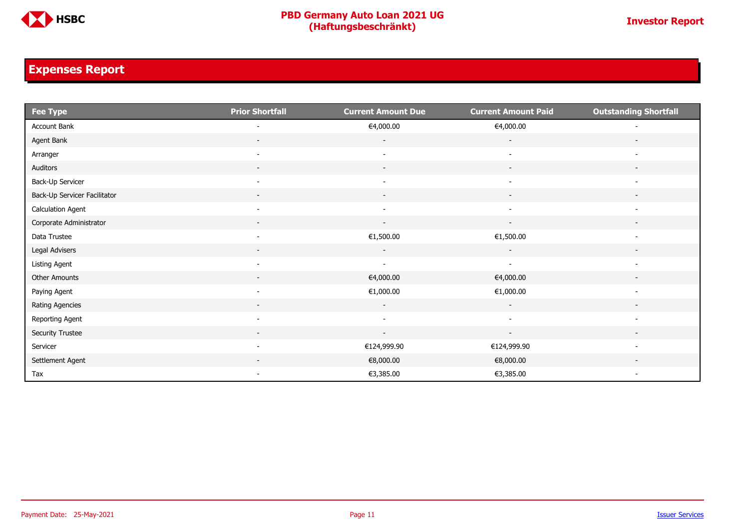

#### <span id="page-10-0"></span>**Expenses Report**

| $\overline{\phantom{a}}$ Fee Type | <b>Prior Shortfall</b>   | <b>Current Amount Due</b> | <b>Current Amount Paid</b> | <b>Outstanding Shortfall</b> |
|-----------------------------------|--------------------------|---------------------------|----------------------------|------------------------------|
| Account Bank                      |                          | €4,000.00                 | €4,000.00                  |                              |
| Agent Bank                        | $\overline{\phantom{0}}$ | $\overline{\phantom{a}}$  | $\overline{\phantom{a}}$   |                              |
| Arranger                          | $\overline{\phantom{0}}$ | $\overline{\phantom{a}}$  | $\overline{\phantom{a}}$   |                              |
| Auditors                          | $\overline{\phantom{a}}$ | $\overline{\phantom{a}}$  | $\overline{\phantom{a}}$   |                              |
| Back-Up Servicer                  | $\overline{\phantom{a}}$ | $\overline{\phantom{a}}$  | $\overline{\phantom{a}}$   | $\overline{\phantom{a}}$     |
| Back-Up Servicer Facilitator      | $\sim$                   | $\sim$                    | $\overline{\phantom{a}}$   | $\overline{\phantom{a}}$     |
| <b>Calculation Agent</b>          | $\overline{\phantom{a}}$ | $\overline{\phantom{a}}$  | $\blacksquare$             | $\overline{\phantom{a}}$     |
| Corporate Administrator           | $\overline{\phantom{a}}$ | $\overline{\phantom{a}}$  | $\overline{\phantom{a}}$   |                              |
| Data Trustee                      | $\overline{\phantom{a}}$ | €1,500.00                 | €1,500.00                  | $\overline{\phantom{a}}$     |
| Legal Advisers                    | $\overline{\phantom{a}}$ | $\sim$                    | $\overline{\phantom{a}}$   | $\overline{\phantom{a}}$     |
| Listing Agent                     | $\overline{\phantom{a}}$ | $\overline{\phantom{a}}$  | $\overline{\phantom{a}}$   |                              |
| Other Amounts                     |                          | €4,000.00                 | €4,000.00                  |                              |
| Paying Agent                      | $\overline{\phantom{a}}$ | €1,000.00                 | €1,000.00                  | $\overline{\phantom{a}}$     |
| Rating Agencies                   | $\sim$                   | $\sim$                    | $\sim$                     | $\overline{\phantom{a}}$     |
| Reporting Agent                   | $\overline{\phantom{a}}$ | $\sim$                    | $\overline{\phantom{a}}$   | $\overline{\phantom{a}}$     |
| Security Trustee                  | $\sim$                   | $\sim$                    | $\sim$                     | $\sim$                       |
| Servicer                          | $\overline{\phantom{a}}$ | €124,999.90               | €124,999.90                | $\blacksquare$               |
| Settlement Agent                  |                          | €8,000.00                 | €8,000.00                  |                              |
| Tax                               | $\overline{\phantom{a}}$ | €3,385.00                 | €3,385.00                  | $\overline{\phantom{a}}$     |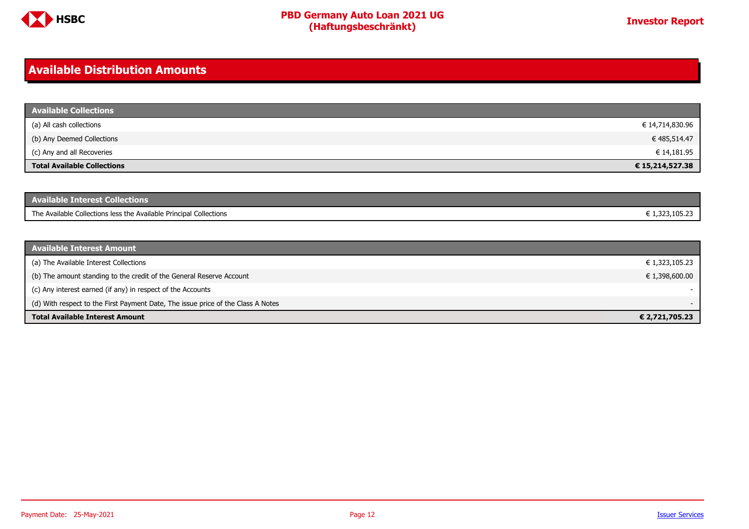

#### <span id="page-11-0"></span>**Available Distribution Amounts**

| <b>Available Collections</b>       |                 |
|------------------------------------|-----------------|
| (a) All cash collections           | € 14,714,830.96 |
| (b) Any Deemed Collections         | € 485,514.47    |
| (c) Any and all Recoveries         | € 14,181.95     |
| <b>Total Available Collections</b> | € 15,214,527.38 |

| <b>Available Interest Collections</b>                              |              |
|--------------------------------------------------------------------|--------------|
| The Available Collections less the Available Principal Collections | 1.323.105.23 |

| <b>Available Interest Amount</b>                                                 |                |
|----------------------------------------------------------------------------------|----------------|
| (a) The Available Interest Collections                                           | € 1,323,105.23 |
| (b) The amount standing to the credit of the General Reserve Account             | € 1,398,600.00 |
| (c) Any interest earned (if any) in respect of the Accounts                      |                |
| (d) With respect to the First Payment Date, The issue price of the Class A Notes |                |
| <b>Total Available Interest Amount</b>                                           | € 2,721,705.23 |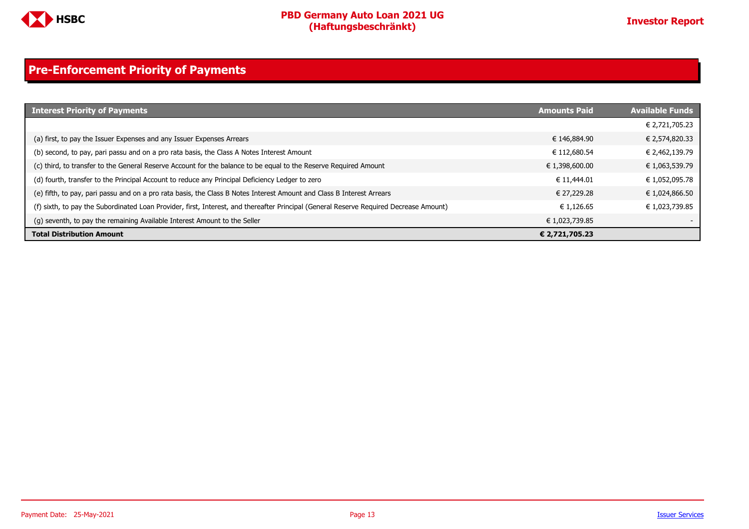

### <span id="page-12-0"></span>**Pre-Enforcement Priority of Payments**

| <b>Interest Priority of Payments</b>                                                                                                   | <b>Amounts Paid</b> | <b>Available Funds</b> |
|----------------------------------------------------------------------------------------------------------------------------------------|---------------------|------------------------|
|                                                                                                                                        |                     | € 2,721,705.23         |
| (a) first, to pay the Issuer Expenses and any Issuer Expenses Arrears                                                                  | € 146,884.90        | € 2,574,820.33         |
| (b) second, to pay, pari passu and on a pro rata basis, the Class A Notes Interest Amount                                              | € 112,680.54        | € 2,462,139.79         |
| (c) third, to transfer to the General Reserve Account for the balance to be equal to the Reserve Required Amount                       | € 1,398,600.00      | € 1,063,539.79         |
| (d) fourth, transfer to the Principal Account to reduce any Principal Deficiency Ledger to zero                                        | € 11,444.01         | € 1,052,095.78         |
| (e) fifth, to pay, pari passu and on a pro rata basis, the Class B Notes Interest Amount and Class B Interest Arrears                  | € 27.229.28         | € 1,024,866.50         |
| (f) sixth, to pay the Subordinated Loan Provider, first, Interest, and thereafter Principal (General Reserve Required Decrease Amount) | € 1.126.65          | € 1,023,739.85         |
| (g) seventh, to pay the remaining Available Interest Amount to the Seller                                                              | € 1,023,739.85      |                        |
| <b>Total Distribution Amount</b>                                                                                                       | € 2,721,705.23      |                        |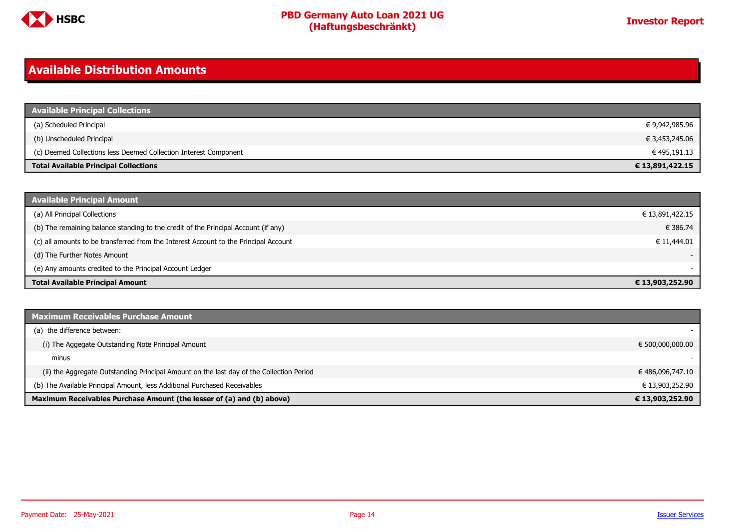

#### <span id="page-13-0"></span>**Available Distribution Amounts**

| <b>Available Principal Collections</b>                           |                 |
|------------------------------------------------------------------|-----------------|
| (a) Scheduled Principal                                          | € 9,942,985.96  |
| (b) Unscheduled Principal                                        | € 3,453,245.06  |
| (c) Deemed Collections less Deemed Collection Interest Component | € 495,191.13    |
| <b>Total Available Principal Collections</b>                     | € 13,891,422.15 |

| <b>Available Principal Amount</b>                                                    |                 |
|--------------------------------------------------------------------------------------|-----------------|
| (a) All Principal Collections                                                        | € 13,891,422.15 |
| (b) The remaining balance standing to the credit of the Principal Account (if any)   | € 386.74        |
| (c) all amounts to be transferred from the Interest Account to the Principal Account | € 11,444.01     |
| (d) The Further Notes Amount                                                         |                 |
| (e) Any amounts credited to the Principal Account Ledger                             |                 |
| <b>Total Available Principal Amount</b>                                              | € 13,903,252.90 |

| <b>Maximum Receivables Purchase Amount</b>                                               |                  |
|------------------------------------------------------------------------------------------|------------------|
| (a) the difference between:                                                              |                  |
| (i) The Aggegate Outstanding Note Principal Amount                                       | € 500,000,000.00 |
| minus                                                                                    |                  |
| (ii) the Aggregate Outstanding Principal Amount on the last day of the Collection Period | € 486,096,747.10 |
| (b) The Available Principal Amount, less Additional Purchased Receivables                | € 13,903,252.90  |
| Maximum Receivables Purchase Amount (the lesser of (a) and (b) above)                    | € 13,903,252.90  |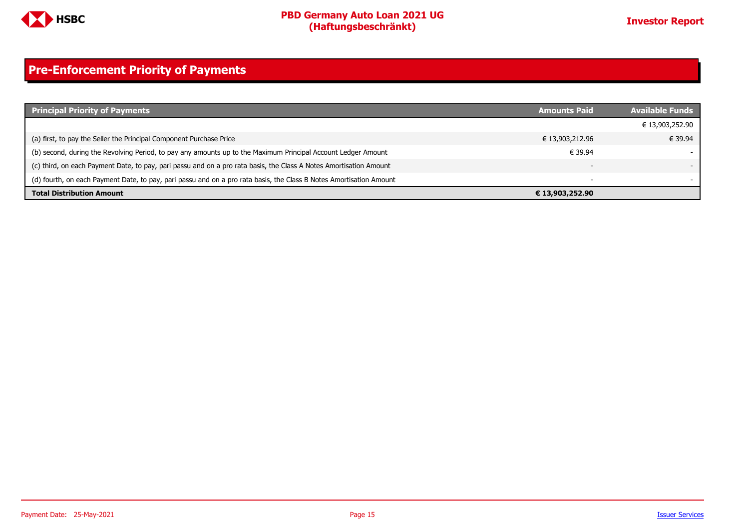

### <span id="page-14-0"></span>**Pre-Enforcement Priority of Payments**

| <b>Principal Priority of Payments</b>                                                                               | <b>Amounts Paid</b>      | <b>Available Funds</b> |
|---------------------------------------------------------------------------------------------------------------------|--------------------------|------------------------|
|                                                                                                                     |                          | € 13,903,252.90        |
| (a) first, to pay the Seller the Principal Component Purchase Price                                                 | € 13,903,212.96          | € 39.94                |
| (b) second, during the Revolving Period, to pay any amounts up to the Maximum Principal Account Ledger Amount       | € 39.94                  |                        |
| (c) third, on each Payment Date, to pay, pari passu and on a pro rata basis, the Class A Notes Amortisation Amount  | $\overline{\phantom{0}}$ |                        |
| (d) fourth, on each Payment Date, to pay, pari passu and on a pro rata basis, the Class B Notes Amortisation Amount | $\overline{\phantom{0}}$ |                        |
| <b>Total Distribution Amount</b>                                                                                    | € 13,903,252.90          |                        |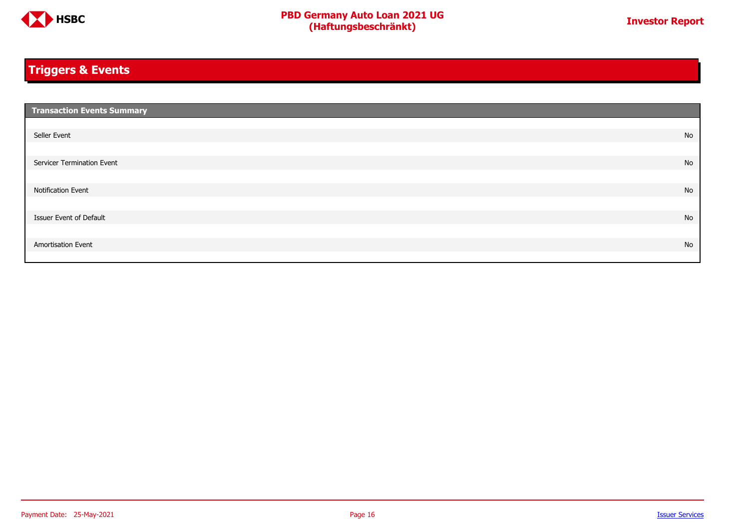

### <span id="page-15-0"></span>**Triggers & Events**

| <b>Transaction Events Summary</b> |    |
|-----------------------------------|----|
|                                   |    |
| Seller Event                      | No |
|                                   |    |
| Servicer Termination Event        | No |
|                                   |    |
| Notification Event                | No |
|                                   |    |
| Issuer Event of Default           | No |
|                                   |    |
| Amortisation Event                | No |
|                                   |    |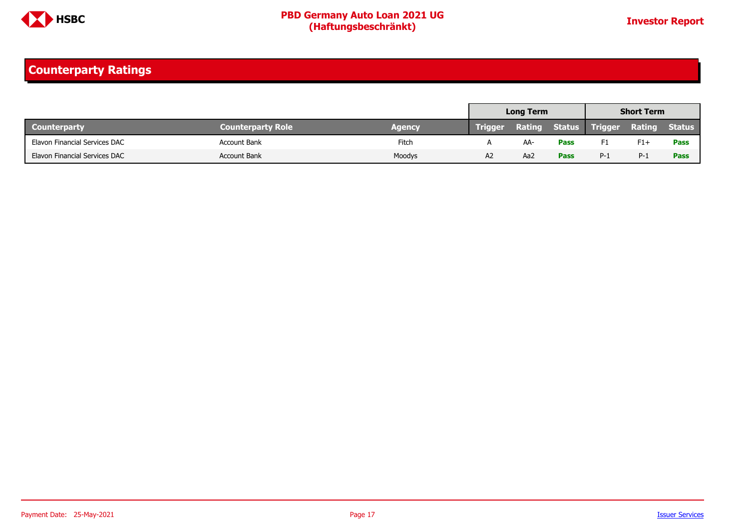

### <span id="page-16-0"></span>**Counterparty Ratings**

|                               |                          |        | <b>Long Term</b> |     | <b>Short Term</b> |                       |        |               |
|-------------------------------|--------------------------|--------|------------------|-----|-------------------|-----------------------|--------|---------------|
| <b>Counterparty</b>           | <b>Counterparty Role</b> | Agency | <b>Trigger</b>   |     |                   | Rating Status Trigger | Rating | <b>Status</b> |
| Elavon Financial Services DAC | <b>Account Bank</b>      | Fitch  |                  | AA- | <b>Pass</b>       | F1                    | $F1+$  | <b>Pass</b>   |
| Elavon Financial Services DAC | <b>Account Bank</b>      | Moodys | A2               | Aa2 | <b>Pass</b>       | $P-1$                 | $P-1$  | <b>Pass</b>   |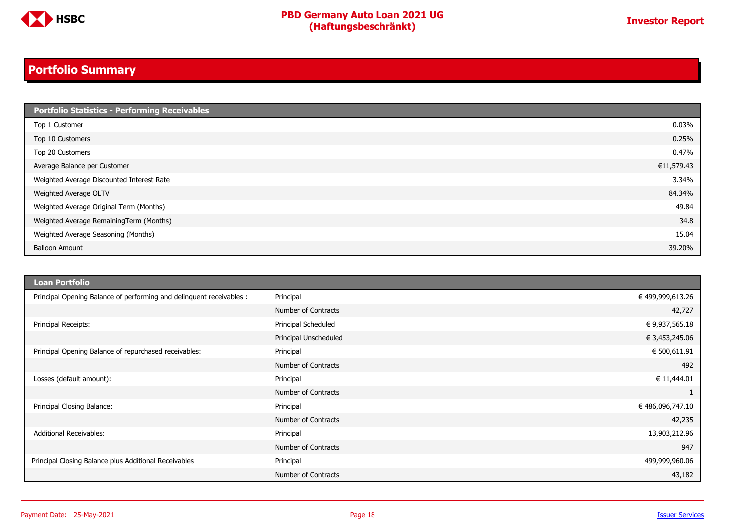

### <span id="page-17-0"></span>**Portfolio Summary**

| <b>Portfolio Statistics - Performing Receivables</b> |            |
|------------------------------------------------------|------------|
| Top 1 Customer                                       | 0.03%      |
| Top 10 Customers                                     | 0.25%      |
| Top 20 Customers                                     | 0.47%      |
| Average Balance per Customer                         | €11,579.43 |
| Weighted Average Discounted Interest Rate            | 3.34%      |
| Weighted Average OLTV                                | 84.34%     |
| Weighted Average Original Term (Months)              | 49.84      |
| Weighted Average RemainingTerm (Months)              | 34.8       |
| Weighted Average Seasoning (Months)                  | 15.04      |
| <b>Balloon Amount</b>                                | 39.20%     |

| <b>Loan Portfolio</b>                                                |                       |                  |
|----------------------------------------------------------------------|-----------------------|------------------|
| Principal Opening Balance of performing and delinquent receivables : | Principal             | € 499,999,613.26 |
|                                                                      | Number of Contracts   | 42,727           |
| Principal Receipts:                                                  | Principal Scheduled   | € 9,937,565.18   |
|                                                                      | Principal Unscheduled | € 3,453,245.06   |
| Principal Opening Balance of repurchased receivables:                | Principal             | € 500,611.91     |
|                                                                      | Number of Contracts   | 492              |
| Losses (default amount):                                             | Principal             | € 11,444.01      |
|                                                                      | Number of Contracts   |                  |
| Principal Closing Balance:                                           | Principal             | € 486,096,747.10 |
|                                                                      | Number of Contracts   | 42,235           |
| Additional Receivables:                                              | Principal             | 13,903,212.96    |
|                                                                      | Number of Contracts   | 947              |
| Principal Closing Balance plus Additional Receivables                | Principal             | 499,999,960.06   |
|                                                                      | Number of Contracts   | 43,182           |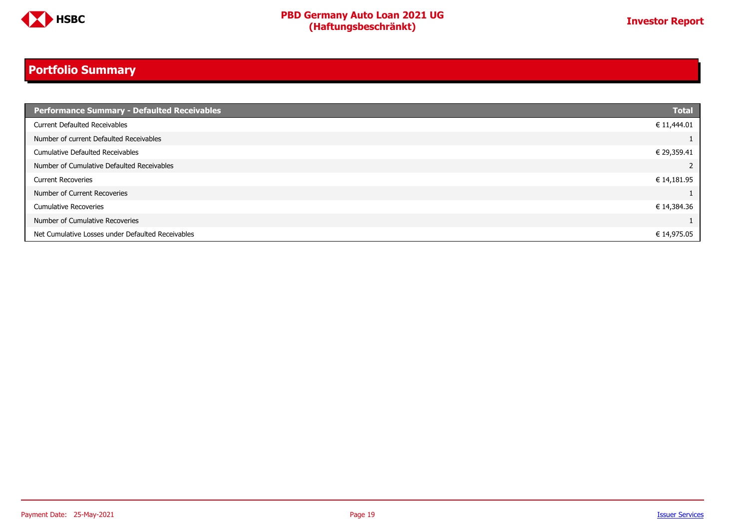

### **Portfolio Summary**

| Performance Summary - Defaulted Receivables       | <b>Total</b> |
|---------------------------------------------------|--------------|
| <b>Current Defaulted Receivables</b>              | € 11,444.01  |
| Number of current Defaulted Receivables           |              |
| Cumulative Defaulted Receivables                  | € 29,359.41  |
| Number of Cumulative Defaulted Receivables        | 2            |
| <b>Current Recoveries</b>                         | € 14,181.95  |
| Number of Current Recoveries                      |              |
| <b>Cumulative Recoveries</b>                      | € 14,384.36  |
| Number of Cumulative Recoveries                   |              |
| Net Cumulative Losses under Defaulted Receivables | € 14,975.05  |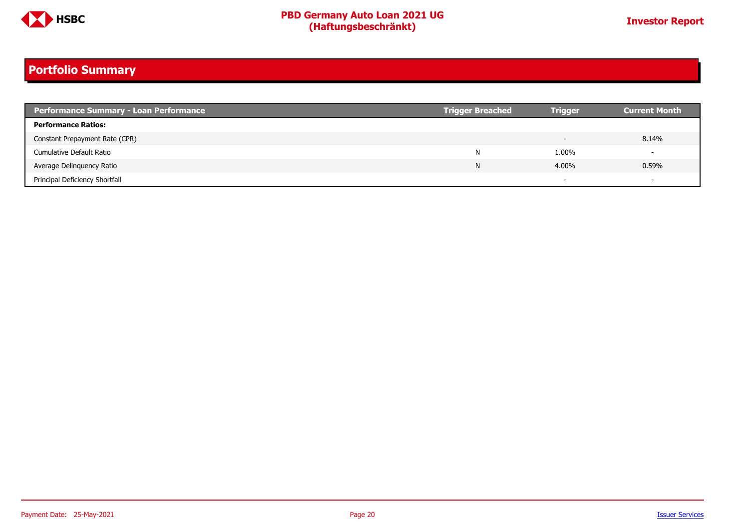

### **Portfolio Summary**

| <b>Performance Summary - Loan Performance</b> | <b>Trigger Breached</b> | <b>Trigger</b> | <b>Current Month</b>     |
|-----------------------------------------------|-------------------------|----------------|--------------------------|
| <b>Performance Ratios:</b>                    |                         |                |                          |
| Constant Prepayment Rate (CPR)                |                         |                | 8.14%                    |
| Cumulative Default Ratio                      | N                       | 1.00%          | $\overline{\phantom{0}}$ |
| Average Delinguency Ratio                     | N                       | 4.00%          | 0.59%                    |
| Principal Deficiency Shortfall                |                         |                | $\overline{\phantom{0}}$ |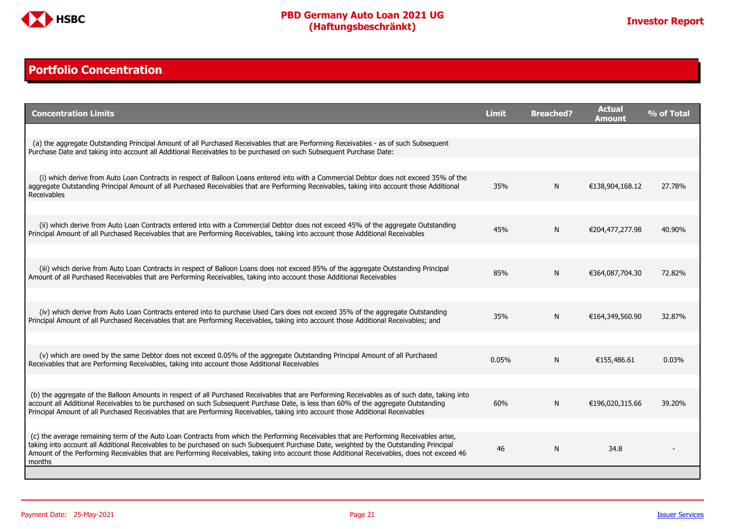

#### <span id="page-20-0"></span>**Portfolio Concentration**

| <b>Concentration Limits</b>                                                                                                                                                                                                                                                                                                                                                                                                              | <b>Limit</b> | <b>Breached?</b> | <b>Actual</b><br>Amount | % of Total |
|------------------------------------------------------------------------------------------------------------------------------------------------------------------------------------------------------------------------------------------------------------------------------------------------------------------------------------------------------------------------------------------------------------------------------------------|--------------|------------------|-------------------------|------------|
|                                                                                                                                                                                                                                                                                                                                                                                                                                          |              |                  |                         |            |
| (a) the aggregate Outstanding Principal Amount of all Purchased Receivables that are Performing Receivables - as of such Subsequent<br>Purchase Date and taking into account all Additional Receivables to be purchased on such Subsequent Purchase Date:                                                                                                                                                                                |              |                  |                         |            |
|                                                                                                                                                                                                                                                                                                                                                                                                                                          |              |                  |                         |            |
| (i) which derive from Auto Loan Contracts in respect of Balloon Loans entered into with a Commercial Debtor does not exceed 35% of the<br>aggregate Outstanding Principal Amount of all Purchased Receivables that are Performing Receivables, taking into account those Additional<br>Receivables                                                                                                                                       | 35%          | N                | €138,904,168.12         | 27.78%     |
|                                                                                                                                                                                                                                                                                                                                                                                                                                          |              |                  |                         |            |
| (ii) which derive from Auto Loan Contracts entered into with a Commercial Debtor does not exceed 45% of the aggregate Outstanding<br>Principal Amount of all Purchased Receivables that are Performing Receivables, taking into account those Additional Receivables                                                                                                                                                                     | 45%          | N                | €204,477,277.98         | 40.90%     |
|                                                                                                                                                                                                                                                                                                                                                                                                                                          |              |                  |                         |            |
| (iii) which derive from Auto Loan Contracts in respect of Balloon Loans does not exceed 85% of the aggregate Outstanding Principal<br>Amount of all Purchased Receivables that are Performing Receivables, taking into account those Additional Receivables                                                                                                                                                                              | 85%          | N                | €364,087,704.30         | 72.82%     |
|                                                                                                                                                                                                                                                                                                                                                                                                                                          |              |                  |                         |            |
| (iv) which derive from Auto Loan Contracts entered into to purchase Used Cars does not exceed 35% of the aggregate Outstanding<br>Principal Amount of all Purchased Receivables that are Performing Receivables, taking into account those Additional Receivables; and                                                                                                                                                                   | 35%          | N                | €164,349,560.90         | 32.87%     |
|                                                                                                                                                                                                                                                                                                                                                                                                                                          |              |                  |                         |            |
| (v) which are owed by the same Debtor does not exceed 0.05% of the aggregate Outstanding Principal Amount of all Purchased<br>Receivables that are Performing Receivables, taking into account those Additional Receivables                                                                                                                                                                                                              | 0.05%        | N                | €155,486.61             | 0.03%      |
|                                                                                                                                                                                                                                                                                                                                                                                                                                          |              |                  |                         |            |
| (b) the aggregate of the Balloon Amounts in respect of all Purchased Receivables that are Performing Receivables as of such date, taking into<br>account all Additional Receivables to be purchased on such Subsequent Purchase Date, is less than 60% of the aggregate Outstanding<br>Principal Amount of all Purchased Receivables that are Performing Receivables, taking into account those Additional Receivables                   | 60%          | N                | €196,020,315.66         | 39.20%     |
|                                                                                                                                                                                                                                                                                                                                                                                                                                          |              |                  |                         |            |
| (c) the average remaining term of the Auto Loan Contracts from which the Performing Receivables that are Performing Receivables arise,<br>taking into account all Additional Receivables to be purchased on such Subsequent Purchase Date, weighted by the Outstanding Principal<br>Amount of the Performing Receivables that are Performing Receivables, taking into account those Additional Receivables, does not exceed 46<br>months | 46           | N                | 34.8                    |            |
|                                                                                                                                                                                                                                                                                                                                                                                                                                          |              |                  |                         |            |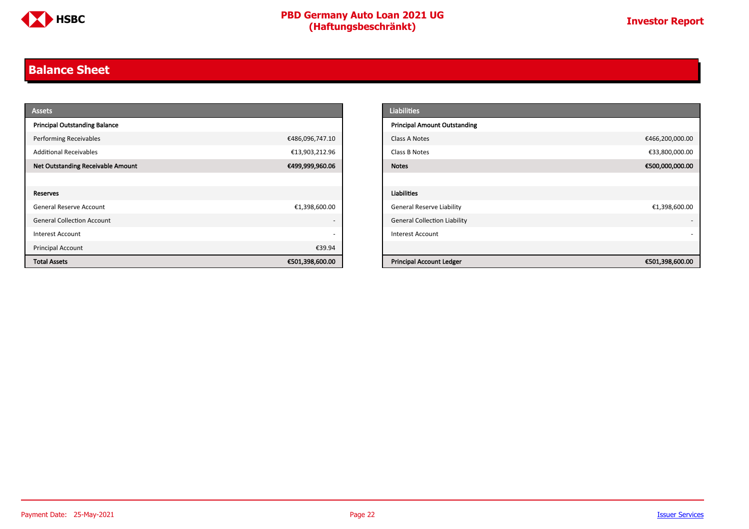

#### <span id="page-21-0"></span>**Balance Sheet**

| <b>Assets</b>                            |                          | <b>Liabilities</b>                                 |
|------------------------------------------|--------------------------|----------------------------------------------------|
| <b>Principal Outstanding Balance</b>     |                          | <b>Principal Amount Outstanding</b>                |
| <b>Performing Receivables</b>            | €486,096,747.10          | €466,200,000.00<br>Class A Notes                   |
| <b>Additional Receivables</b>            | €13,903,212.96           | €33,800,000.00<br>Class B Notes                    |
| <b>Net Outstanding Receivable Amount</b> | €499,999,960.06          | €500,000,000.00<br><b>Notes</b>                    |
|                                          |                          |                                                    |
| Reserves                                 |                          | Liabilities                                        |
| General Reserve Account                  | €1,398,600.00            | <b>General Reserve Liability</b><br>€1,398,600.00  |
| <b>General Collection Account</b>        | $\overline{\phantom{0}}$ | <b>General Collection Liability</b>                |
| Interest Account                         | $\overline{\phantom{0}}$ | <b>Interest Account</b>                            |
| Principal Account                        | €39.94                   |                                                    |
| <b>Total Assets</b>                      | €501,398,600.00          | <b>Principal Account Ledger</b><br>€501,398,600.00 |

| <b>Liabilities</b>                  |                 |
|-------------------------------------|-----------------|
| <b>Principal Amount Outstanding</b> |                 |
| Class A Notes                       | €466,200,000.00 |
| Class B Notes                       | €33,800,000.00  |
| <b>Notes</b>                        | €500,000,000.00 |
|                                     |                 |
| <b>Liabilities</b>                  |                 |
| <b>General Reserve Liability</b>    | €1,398,600.00   |
| <b>General Collection Liability</b> |                 |
| <b>Interest Account</b>             |                 |
|                                     |                 |
| <b>Principal Account Ledger</b>     | €501,398,600.00 |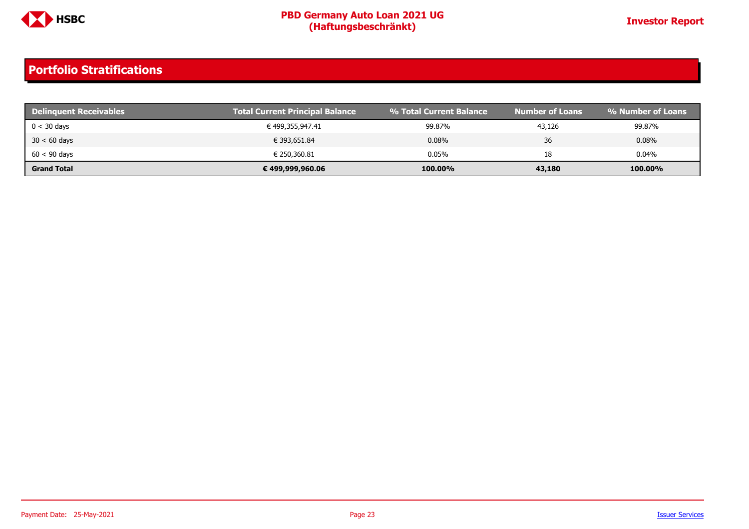

| <b>Delinguent Receivables</b> | <b>Total Current Principal Balance</b> | % Total Current Balance | <b>Number of Loans</b> | % Number of Loans |
|-------------------------------|----------------------------------------|-------------------------|------------------------|-------------------|
| $0 < 30$ days                 | € 499,355,947.41                       | 99.87%                  | 43,126                 | 99.87%            |
| $30 < 60$ days                | € 393,651.84                           | 0.08%                   | 36                     | $0.08\%$          |
| $60 < 90$ days                | € 250,360.81                           | 0.05%                   | 18                     | 0.04%             |
| <b>Grand Total</b>            | € 499,999,960.06                       | 100.00%                 | 43,180                 | 100.00%           |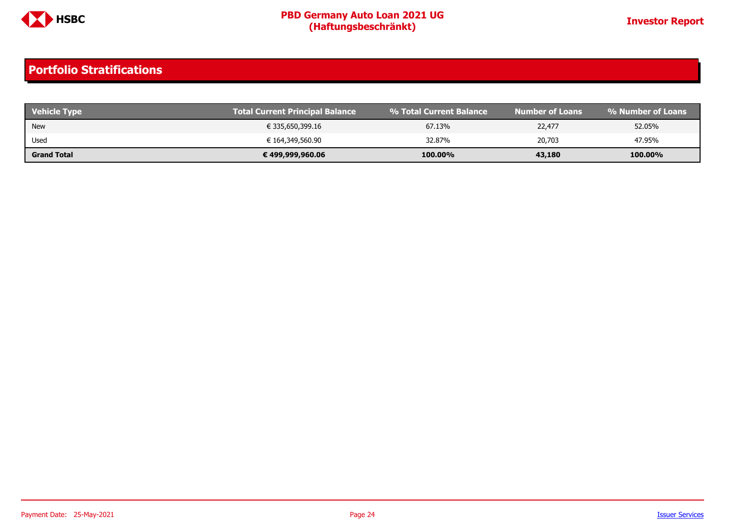

| Vehicle Type       | <b>Total Current Principal Balance</b> | ↓% Total Current Balance | Number of Loans | । % Number of Loans ' |
|--------------------|----------------------------------------|--------------------------|-----------------|-----------------------|
| <b>New</b>         | € 335,650,399.16                       | 67.13%                   | 22,477          | 52.05%                |
| Used               | € 164,349,560.90                       | 32.87%                   | 20,703          | 47.95%                |
| <b>Grand Total</b> | € 499,999,960.06                       | 100.00%                  | 43,180          | 100.00%               |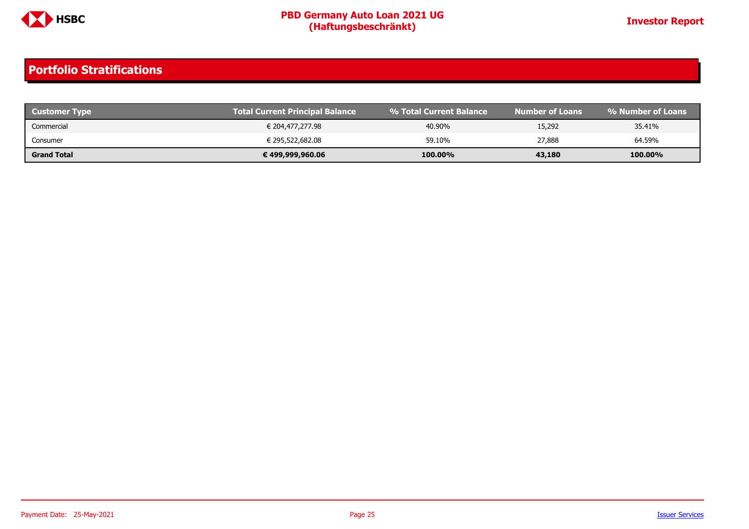

| <b>Customer Type</b> | <b>Total Current Principal Balance</b> | ↓% Total Current Balance \ | Number of Loans' | % Number of Loans |
|----------------------|----------------------------------------|----------------------------|------------------|-------------------|
| Commercial           | € 204,477,277.98                       | 40.90%                     | 15,292           | 35.41%            |
| Consumer             | € 295,522,682.08                       | 59.10%                     | 27,888           | 64.59%            |
| <b>Grand Total</b>   | € 499,999,960.06                       | 100.00%                    | 43,180           | 100.00%           |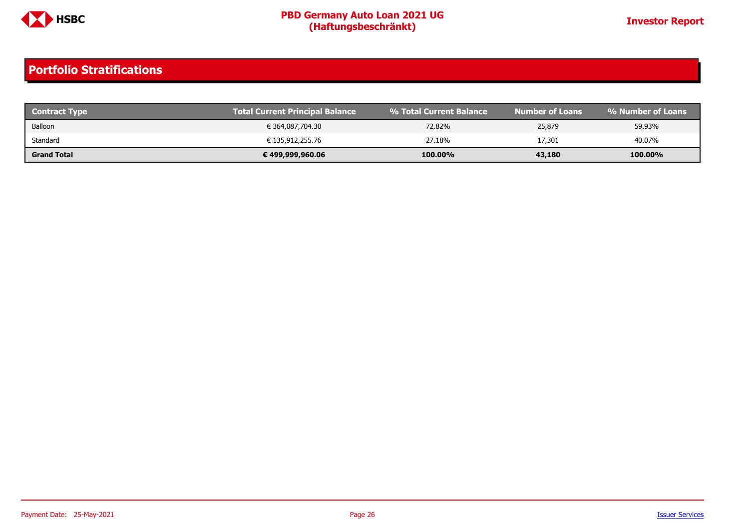

| <b>Contract Type</b> | Total Current Principal Balance | 1 % Total Current Balance | <b>Number of Loans</b> | । % Number of Loans ' |
|----------------------|---------------------------------|---------------------------|------------------------|-----------------------|
| Balloon              | € 364,087,704.30                | 72.82%                    | 25,879                 | 59.93%                |
| Standard             | € 135,912,255.76                | 27.18%                    | 17,301                 | 40.07%                |
| <b>Grand Total</b>   | € 499,999,960.06                | 100.00%                   | 43,180                 | 100.00%               |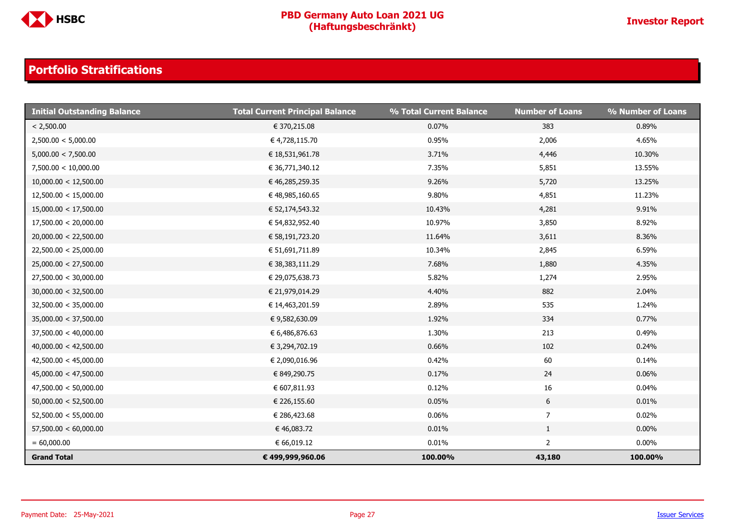

| <b>Initial Outstanding Balance</b> | <b>Total Current Principal Balance</b> | % Total Current Balance | <b>Number of Loans</b> | % Number of Loans |
|------------------------------------|----------------------------------------|-------------------------|------------------------|-------------------|
| < 2,500.00                         | € 370,215.08                           | 0.07%                   | 383                    | 0.89%             |
| 2,500.00 < 5,000.00                | € 4,728,115.70                         | 0.95%                   | 2,006                  | 4.65%             |
| 5,000.00 < 7,500.00                | € 18,531,961.78                        | 3.71%                   | 4,446                  | 10.30%            |
| 7,500.00 < 10,000.00               | € 36,771,340.12                        | 7.35%                   | 5,851                  | 13.55%            |
| 10,000.00 < 12,500.00              | € 46,285,259.35                        | 9.26%                   | 5,720                  | 13.25%            |
| 12,500.00 < 15,000.00              | € 48,985,160.65                        | 9.80%                   | 4,851                  | 11.23%            |
| 15,000.00 < 17,500.00              | € 52,174,543.32                        | 10.43%                  | 4,281                  | 9.91%             |
| 17,500.00 < 20,000.00              | € 54,832,952.40                        | 10.97%                  | 3,850                  | 8.92%             |
| 20,000.00 < 22,500.00              | € 58,191,723.20                        | 11.64%                  | 3,611                  | 8.36%             |
| 22,500.00 < 25,000.00              | € 51,691,711.89                        | 10.34%                  | 2,845                  | 6.59%             |
| 25,000.00 < 27,500.00              | € 38,383,111.29                        | 7.68%                   | 1,880                  | 4.35%             |
| 27,500.00 < 30,000.00              | € 29,075,638.73                        | 5.82%                   | 1,274                  | 2.95%             |
| 30,000.00 < 32,500.00              | € 21,979,014.29                        | 4.40%                   | 882                    | 2.04%             |
| 32,500.00 < 35,000.00              | € 14,463,201.59                        | 2.89%                   | 535                    | 1.24%             |
| 35,000.00 < 37,500.00              | €9,582,630.09                          | 1.92%                   | 334                    | 0.77%             |
| 37,500.00 < 40,000.00              | € 6,486,876.63                         | 1.30%                   | 213                    | 0.49%             |
| 40,000.00 < 42,500.00              | € 3,294,702.19                         | 0.66%                   | 102                    | 0.24%             |
| 42,500.00 < 45,000.00              | € 2,090,016.96                         | 0.42%                   | 60                     | 0.14%             |
| 45,000.00 < 47,500.00              | € 849,290.75                           | 0.17%                   | 24                     | 0.06%             |
| 47,500.00 < 50,000.00              | € 607,811.93                           | 0.12%                   | 16                     | 0.04%             |
| 50,000.00 < 52,500.00              | € 226,155.60                           | 0.05%                   | $6\phantom{.}6$        | 0.01%             |
| 52,500.00 < 55,000.00              | € 286,423.68                           | 0.06%                   | $\overline{7}$         | 0.02%             |
| 57,500.00 < 60,000.00              | € 46,083.72                            | 0.01%                   | $\mathbf{1}$           | $0.00\%$          |
| $= 60,000.00$                      | € 66,019.12                            | 0.01%                   | $\overline{2}$         | $0.00\%$          |
| <b>Grand Total</b>                 | € 499,999,960.06                       | 100.00%                 | 43,180                 | 100.00%           |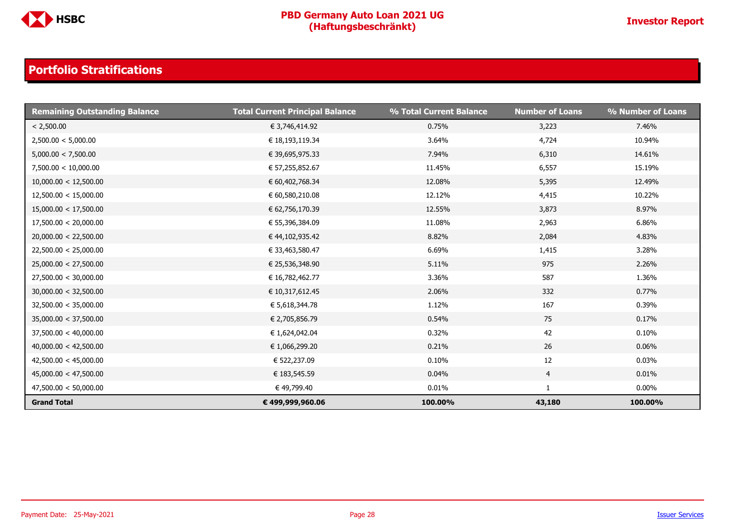

| <b>Remaining Outstanding Balance</b> | <b>Total Current Principal Balance</b> | % Total Current Balance | <b>Number of Loans</b> | % Number of Loans |
|--------------------------------------|----------------------------------------|-------------------------|------------------------|-------------------|
| < 2,500.00                           | € 3,746,414.92                         | 0.75%                   | 3,223                  | 7.46%             |
| 2,500.00 < 5,000.00                  | € 18,193,119.34                        | 3.64%                   | 4,724                  | 10.94%            |
| 5,000.00 < 7,500.00                  | € 39,695,975.33                        | 7.94%                   | 6,310                  | 14.61%            |
| 7,500.00 < 10,000.00                 | € 57,255,852.67                        | 11.45%                  | 6,557                  | 15.19%            |
| 10,000.00 < 12,500.00                | € 60,402,768.34                        | 12.08%                  | 5,395                  | 12.49%            |
| 12,500.00 < 15,000.00                | € 60,580,210.08                        | 12.12%                  | 4,415                  | 10.22%            |
| 15,000.00 < 17,500.00                | € 62,756,170.39                        | 12.55%                  | 3,873                  | 8.97%             |
| 17,500.00 < 20,000.00                | € 55,396,384.09                        | 11.08%                  | 2,963                  | 6.86%             |
| 20,000.00 < 22,500.00                | € 44,102,935.42                        | 8.82%                   | 2,084                  | 4.83%             |
| 22,500.00 < 25,000.00                | € 33,463,580.47                        | 6.69%                   | 1,415                  | 3.28%             |
| 25,000.00 < 27,500.00                | € 25,536,348.90                        | 5.11%                   | 975                    | 2.26%             |
| 27,500.00 < 30,000.00                | € 16,782,462.77                        | 3.36%                   | 587                    | 1.36%             |
| 30,000.00 < 32,500.00                | € 10,317,612.45                        | 2.06%                   | 332                    | 0.77%             |
| 32,500.00 < 35,000.00                | € 5,618,344.78                         | 1.12%                   | 167                    | 0.39%             |
| 35,000.00 < 37,500.00                | € 2,705,856.79                         | 0.54%                   | 75                     | 0.17%             |
| 37,500.00 < 40,000.00                | € 1,624,042.04                         | 0.32%                   | 42                     | 0.10%             |
| 40,000.00 < 42,500.00                | € 1,066,299.20                         | 0.21%                   | 26                     | 0.06%             |
| 42,500.00 < 45,000.00                | € 522,237.09                           | 0.10%                   | 12                     | 0.03%             |
| 45,000.00 < 47,500.00                | € 183,545.59                           | 0.04%                   | $\overline{4}$         | 0.01%             |
| 47,500.00 < 50,000.00                | € 49,799.40                            | 0.01%                   | 1                      | $0.00\%$          |
| <b>Grand Total</b>                   | € 499,999,960.06                       | 100.00%                 | 43,180                 | 100.00%           |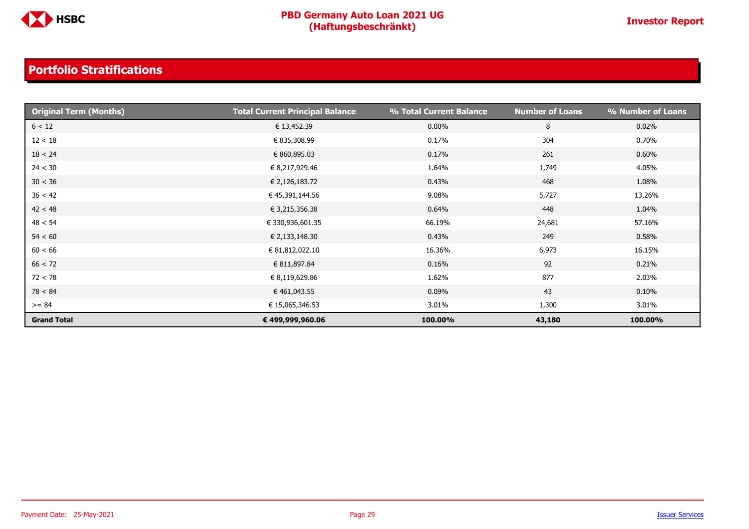

| <b>Original Term (Months)</b> | <b>Total Current Principal Balance</b> | % Total Current Balance | <b>Number of Loans</b> | % Number of Loans |
|-------------------------------|----------------------------------------|-------------------------|------------------------|-------------------|
| 6 < 12                        | € 13,452.39                            | $0.00\%$                | 8                      | 0.02%             |
| 12 < 18                       | € 835,308.99                           | 0.17%                   | 304                    | 0.70%             |
| 18 < 24                       | € 860,895.03                           | 0.17%                   | 261                    | 0.60%             |
| 24 < 30                       | € 8,217,929.46                         | 1.64%                   | 1,749                  | 4.05%             |
| 30 < 36                       | € 2,126,183.72                         | 0.43%                   | 468                    | 1.08%             |
| 36 < 42                       | € 45,391,144.56                        | 9.08%                   | 5,727                  | 13.26%            |
| 42 < 48                       | € 3,215,356.38                         | 0.64%                   | 448                    | 1.04%             |
| 48 < 54                       | € 330,936,601.35                       | 66.19%                  | 24,681                 | 57.16%            |
| 54 < 60                       | € 2,133,148.30                         | 0.43%                   | 249                    | 0.58%             |
| 60 < 66                       | € 81,812,022.10                        | 16.36%                  | 6,973                  | 16.15%            |
| 66 < 72                       | € 811,897.84                           | 0.16%                   | 92                     | 0.21%             |
| 72 < 78                       | € 8,119,629.86                         | 1.62%                   | 877                    | 2.03%             |
| 78 < 84                       | € 461,043.55                           | 0.09%                   | 43                     | $0.10\%$          |
| $>= 84$                       | € 15,065,346.53                        | 3.01%                   | 1,300                  | 3.01%             |
| <b>Grand Total</b>            | € 499,999,960.06                       | 100.00%                 | 43,180                 | 100.00%           |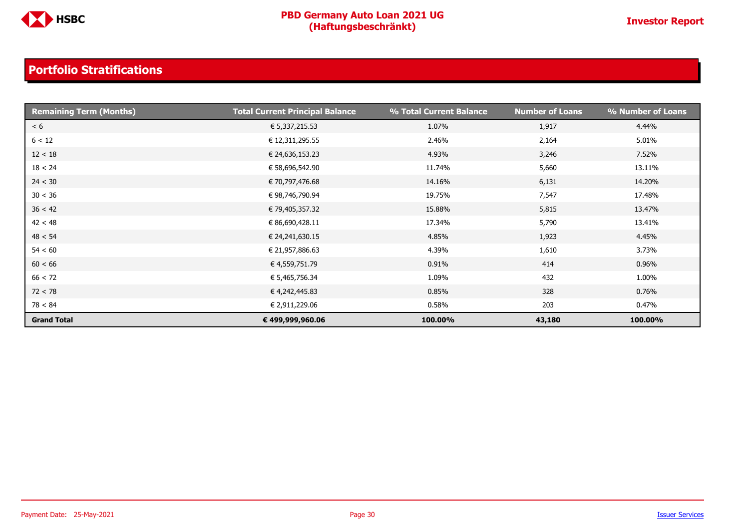

| <b>Remaining Term (Months)</b> | <b>Total Current Principal Balance</b> | % Total Current Balance | <b>Number of Loans</b> | % Number of Loans |
|--------------------------------|----------------------------------------|-------------------------|------------------------|-------------------|
| < 6                            | € 5,337,215.53                         | 1.07%                   | 1,917                  | 4.44%             |
| 6 < 12                         | € 12,311,295.55                        | 2.46%                   | 2,164                  | 5.01%             |
| 12 < 18                        | € 24,636,153.23                        | 4.93%                   | 3,246                  | 7.52%             |
| 18 < 24                        | € 58,696,542.90                        | 11.74%                  | 5,660                  | 13.11%            |
| 24 < 30                        | € 70,797,476.68                        | 14.16%                  | 6,131                  | 14.20%            |
| 30 < 36                        | € 98,746,790.94                        | 19.75%                  | 7,547                  | 17.48%            |
| 36 < 42                        | € 79,405,357.32                        | 15.88%                  | 5,815                  | 13.47%            |
| 42 < 48                        | € 86,690,428.11                        | 17.34%                  | 5,790                  | 13.41%            |
| 48 < 54                        | € 24,241,630.15                        | 4.85%                   | 1,923                  | 4.45%             |
| 54 < 60                        | € 21,957,886.63                        | 4.39%                   | 1,610                  | 3.73%             |
| 60 < 66                        | € 4,559,751.79                         | 0.91%                   | 414                    | 0.96%             |
| 66 < 72                        | € 5,465,756.34                         | 1.09%                   | 432                    | 1.00%             |
| 72 < 78                        | € 4,242,445.83                         | 0.85%                   | 328                    | 0.76%             |
| 78 < 84                        | € 2,911,229.06                         | 0.58%                   | 203                    | 0.47%             |
| <b>Grand Total</b>             | € 499,999,960.06                       | 100.00%                 | 43,180                 | 100.00%           |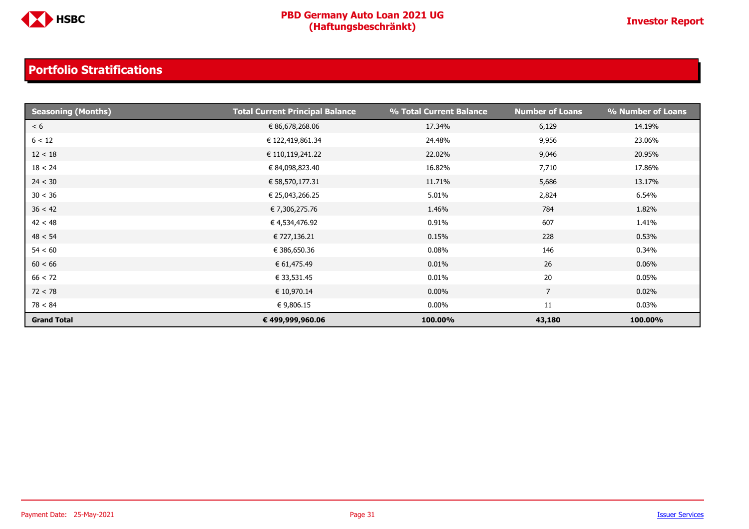

| <b>Seasoning (Months)</b> | <b>Total Current Principal Balance</b> | % Total Current Balance | <b>Number of Loans</b> | % Number of Loans |
|---------------------------|----------------------------------------|-------------------------|------------------------|-------------------|
| < 6                       | € 86,678,268.06                        | 17.34%                  | 6,129                  | 14.19%            |
| 6 < 12                    | € 122,419,861.34                       | 24.48%                  | 9,956                  | 23.06%            |
| 12 < 18                   | € 110,119,241.22                       | 22.02%                  | 9,046                  | 20.95%            |
| 18 < 24                   | € 84,098,823.40                        | 16.82%                  | 7,710                  | 17.86%            |
| 24 < 30                   | € 58,570,177.31                        | 11.71%                  | 5,686                  | 13.17%            |
| 30 < 36                   | € 25,043,266.25                        | 5.01%                   | 2,824                  | 6.54%             |
| 36 < 42                   | € 7,306,275.76                         | 1.46%                   | 784                    | 1.82%             |
| 42 < 48                   | € 4,534,476.92                         | 0.91%                   | 607                    | 1.41%             |
| 48 < 54                   | € 727,136.21                           | 0.15%                   | 228                    | 0.53%             |
| 54 < 60                   | € 386,650.36                           | 0.08%                   | 146                    | 0.34%             |
| 60 < 66                   | € 61,475.49                            | 0.01%                   | 26                     | 0.06%             |
| 66 < 72                   | € 33,531.45                            | 0.01%                   | 20                     | 0.05%             |
| 72 < 78                   | € 10,970.14                            | $0.00\%$                | $\overline{7}$         | 0.02%             |
| 78 < 84                   | € 9,806.15                             | $0.00\%$                | 11                     | 0.03%             |
| <b>Grand Total</b>        | € 499,999,960.06                       | 100.00%                 | 43,180                 | 100.00%           |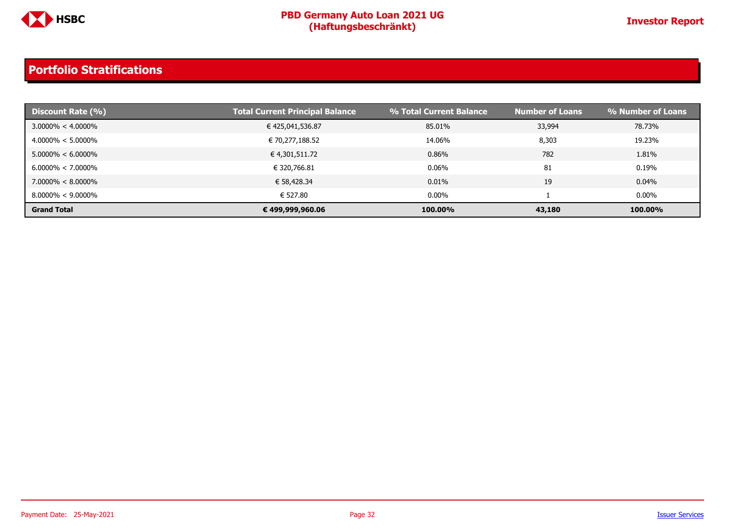

| Discount Rate (%)     | <b>Total Current Principal Balance</b> | % Total Current Balance | <b>Number of Loans</b> | % Number of Loans |
|-----------------------|----------------------------------------|-------------------------|------------------------|-------------------|
| $3.0000\% < 4.0000\%$ | € 425,041,536.87                       | 85.01%                  | 33,994                 | 78.73%            |
| $4.0000\% < 5.0000\%$ | € 70,277,188.52                        | 14.06%                  | 8,303                  | 19.23%            |
| $5.0000\% < 6.0000\%$ | € 4,301,511.72                         | 0.86%                   | 782                    | 1.81%             |
| $6.0000\% < 7.0000\%$ | € 320,766.81                           | 0.06%                   | 81                     | 0.19%             |
| $7.0000\% < 8.0000\%$ | € 58,428.34                            | 0.01%                   | 19                     | 0.04%             |
| $8.0000\% < 9.0000\%$ | € 527.80                               | $0.00\%$                |                        | $0.00\%$          |
| <b>Grand Total</b>    | € 499,999,960.06                       | 100.00%                 | 43,180                 | 100.00%           |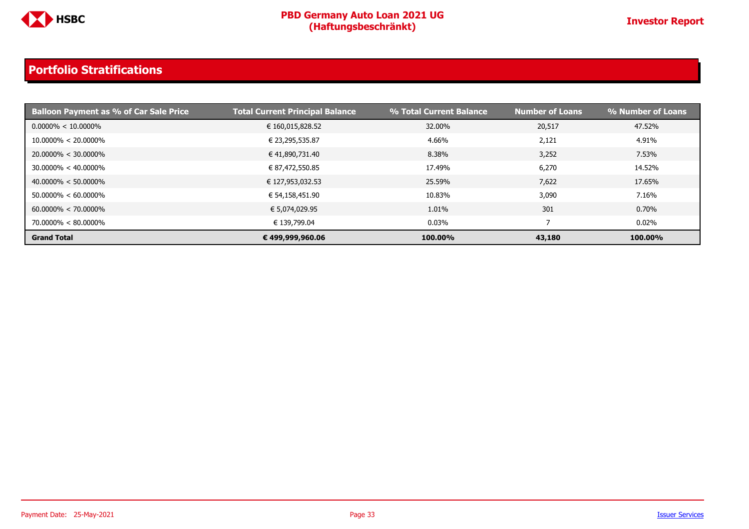

| <b>Balloon Payment as % of Car Sale Price</b> | Total Current Principal Balance | % Total Current Balance | <b>Number of Loans</b> | % Number of Loans |
|-----------------------------------------------|---------------------------------|-------------------------|------------------------|-------------------|
| $0.0000\% < 10.0000\%$                        | € 160,015,828.52                | 32.00%                  | 20,517                 | 47.52%            |
| $10.0000\% < 20.0000\%$                       | € 23,295,535.87                 | 4.66%                   | 2,121                  | 4.91%             |
| $20.0000\% < 30.0000\%$                       | € 41,890,731.40                 | 8.38%                   | 3,252                  | 7.53%             |
| $30.0000\% < 40.0000\%$                       | € 87,472,550.85                 | 17.49%                  | 6,270                  | 14.52%            |
| $40.0000\% < 50.0000\%$                       | € 127,953,032.53                | 25.59%                  | 7,622                  | 17.65%            |
| $50.0000\% < 60.0000\%$                       | € 54,158,451.90                 | 10.83%                  | 3,090                  | 7.16%             |
| $60.0000\% < 70.0000\%$                       | € 5,074,029.95                  | 1.01%                   | 301                    | 0.70%             |
| $70.0000\% < 80.0000\%$                       | € 139,799.04                    | $0.03\%$                |                        | 0.02%             |
| <b>Grand Total</b>                            | € 499,999,960.06                | 100.00%                 | 43,180                 | 100.00%           |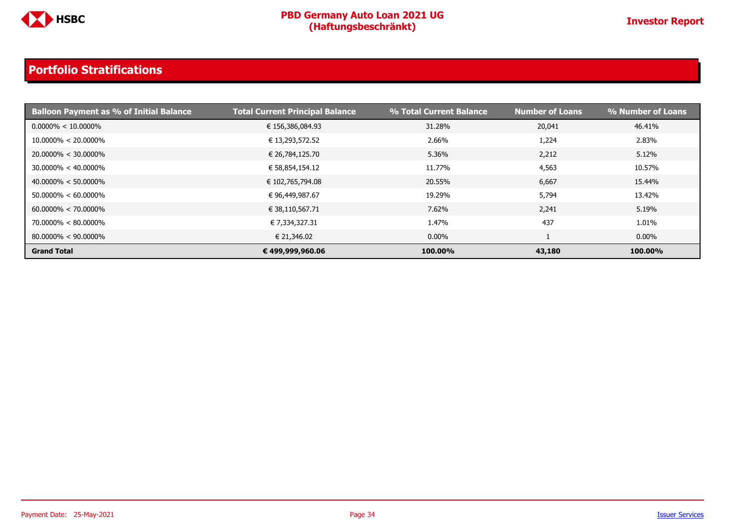

| <b>Balloon Payment as % of Initial Balance</b> | <b>Total Current Principal Balance</b> | % Total Current Balance | <b>Number of Loans</b> | % Number of Loans |
|------------------------------------------------|----------------------------------------|-------------------------|------------------------|-------------------|
| $0.0000\% < 10.0000\%$                         | € 156,386,084.93                       | 31.28%                  | 20,041                 | 46.41%            |
| $10.0000\% < 20.0000\%$                        | € 13,293,572.52                        | 2.66%                   | 1,224                  | 2.83%             |
| $20.0000\% < 30.0000\%$                        | € 26,784,125.70                        | 5.36%                   | 2,212                  | 5.12%             |
| $30.0000\% < 40.0000\%$                        | € 58,854,154.12                        | 11.77%                  | 4,563                  | 10.57%            |
| $40.0000\% < 50.0000\%$                        | € 102,765,794.08                       | 20.55%                  | 6,667                  | 15.44%            |
| $50.0000\% < 60.0000\%$                        | € 96,449,987.67                        | 19.29%                  | 5,794                  | 13.42%            |
| $60.0000\% < 70.0000\%$                        | € 38,110,567.71                        | 7.62%                   | 2,241                  | 5.19%             |
| $70.0000\% < 80.0000\%$                        | € 7,334,327.31                         | 1.47%                   | 437                    | 1.01%             |
| $80.0000\% < 90.0000\%$                        | € 21,346.02                            | $0.00\%$                |                        | $0.00\%$          |
| <b>Grand Total</b>                             | € 499,999,960.06                       | 100.00%                 | 43,180                 | 100.00%           |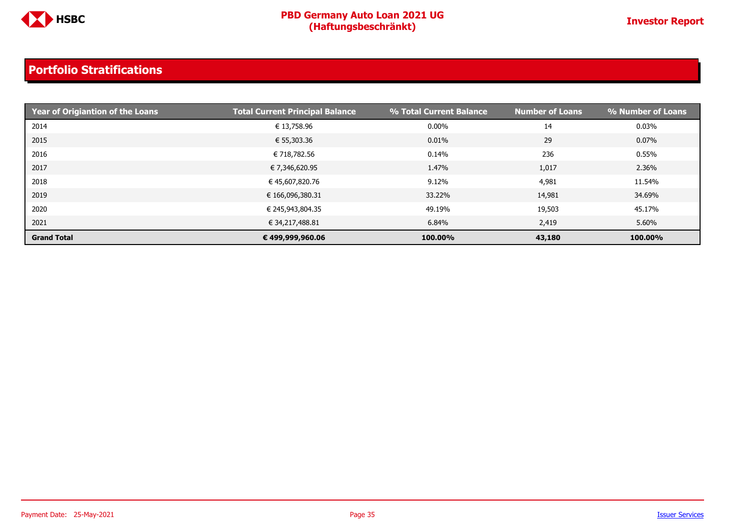

| <b>Print Year of Origiantion of the Loans</b> | <b>Total Current Principal Balance</b> | % Total Current Balance | <b>Number of Loans</b> | % Number of Loans |
|-----------------------------------------------|----------------------------------------|-------------------------|------------------------|-------------------|
| 2014                                          | € 13,758.96                            | $0.00\%$                | 14                     | $0.03\%$          |
| 2015                                          | € 55,303.36                            | 0.01%                   | 29                     | $0.07\%$          |
| 2016                                          | € 718,782.56                           | 0.14%                   | 236                    | 0.55%             |
| 2017                                          | € 7,346,620.95                         | 1.47%                   | 1,017                  | 2.36%             |
| 2018                                          | € 45,607,820.76                        | 9.12%                   | 4,981                  | 11.54%            |
| 2019                                          | € 166,096,380.31                       | 33.22%                  | 14,981                 | 34.69%            |
| 2020                                          | € 245,943,804.35                       | 49.19%                  | 19,503                 | 45.17%            |
| 2021                                          | € 34,217,488.81                        | 6.84%                   | 2,419                  | 5.60%             |
| <b>Grand Total</b>                            | € 499,999,960.06                       | 100.00%                 | 43,180                 | 100.00%           |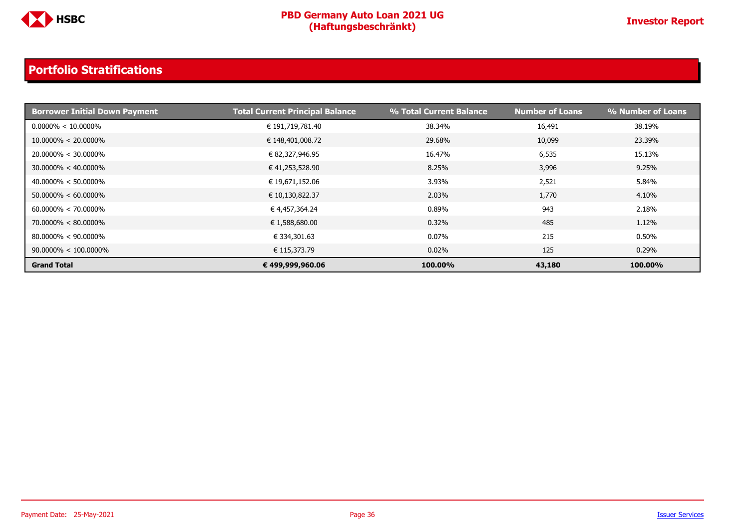

| <b>Borrower Initial Down Payment</b> | <b>Total Current Principal Balance</b> | % Total Current Balance | <b>Number of Loans</b> | % Number of Loans |
|--------------------------------------|----------------------------------------|-------------------------|------------------------|-------------------|
| $0.0000\% < 10.0000\%$               | € 191,719,781.40                       | 38.34%                  | 16,491                 | 38.19%            |
| $10.0000\% < 20.0000\%$              | € 148,401,008.72                       | 29.68%                  | 10,099                 | 23.39%            |
| $20.0000\% < 30.0000\%$              | € 82,327,946.95                        | 16.47%                  | 6,535                  | 15.13%            |
| $30.0000\% < 40.0000\%$              | € 41,253,528.90                        | 8.25%                   | 3,996                  | 9.25%             |
| $40.0000\% < 50.0000\%$              | € 19,671,152.06                        | 3.93%                   | 2,521                  | 5.84%             |
| $50.0000\% < 60.0000\%$              | € 10,130,822.37                        | 2.03%                   | 1,770                  | 4.10%             |
| $60.0000\% < 70.0000\%$              | € 4,457,364.24                         | 0.89%                   | 943                    | 2.18%             |
| $70.0000\% < 80.0000\%$              | € 1,588,680.00                         | 0.32%                   | 485                    | 1.12%             |
| $80.0000\% < 90.0000\%$              | € 334,301.63                           | $0.07\%$                | 215                    | 0.50%             |
| $90.0000\% < 100.0000\%$             | € 115,373.79                           | 0.02%                   | 125                    | 0.29%             |
| <b>Grand Total</b>                   | € 499,999,960.06                       | 100.00%                 | 43,180                 | 100.00%           |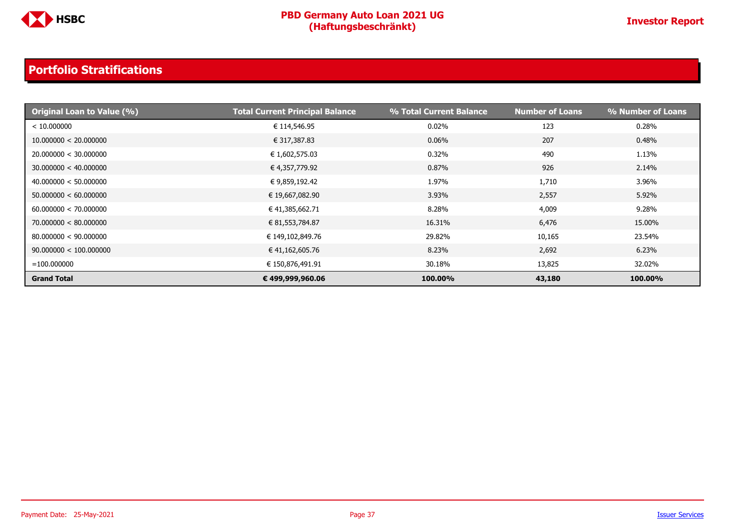

| <b>Original Loan to Value (%)</b> | <b>Total Current Principal Balance</b> | % Total Current Balance | <b>Number of Loans</b> | % Number of Loans |
|-----------------------------------|----------------------------------------|-------------------------|------------------------|-------------------|
| < 10.000000                       | € 114,546.95                           | 0.02%                   | 123                    | 0.28%             |
| 10.000000 < 20.000000             | € 317,387.83                           | 0.06%                   | 207                    | 0.48%             |
| 20.000000 < 30.000000             | € 1,602,575.03                         | 0.32%                   | 490                    | 1.13%             |
| 30.000000 < 40.000000             | € 4,357,779.92                         | 0.87%                   | 926                    | 2.14%             |
| 40.000000 < 50.000000             | € 9,859,192.42                         | 1.97%                   | 1,710                  | 3.96%             |
| 50.000000 < 60.000000             | € 19,667,082.90                        | 3.93%                   | 2,557                  | 5.92%             |
| 60.000000 < 70.000000             | € 41,385,662.71                        | 8.28%                   | 4,009                  | 9.28%             |
| 70.000000 < 80.000000             | € 81,553,784.87                        | 16.31%                  | 6,476                  | 15.00%            |
| 80.000000 < 90.000000             | € 149,102,849.76                       | 29.82%                  | 10,165                 | 23.54%            |
| 90.000000 < 100.000000            | € 41,162,605.76                        | 8.23%                   | 2,692                  | 6.23%             |
| $= 100.000000$                    | € 150,876,491.91                       | 30.18%                  | 13,825                 | 32.02%            |
| <b>Grand Total</b>                | € 499,999,960.06                       | 100.00%                 | 43,180                 | 100.00%           |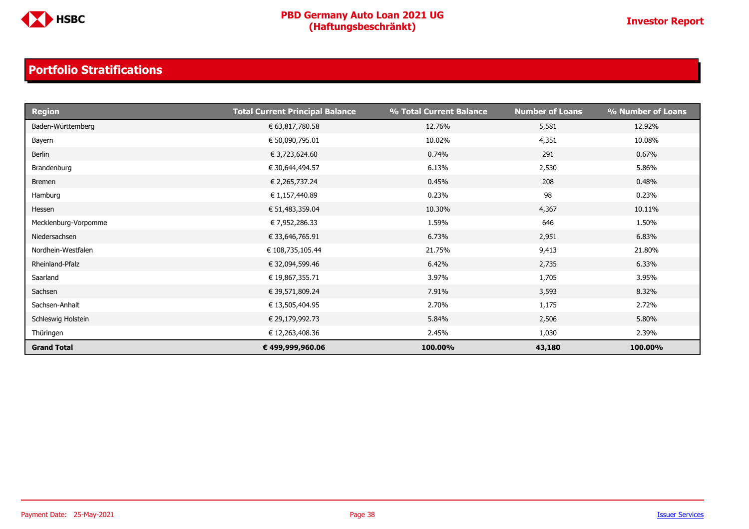

| <b>Region</b>        | <b>Total Current Principal Balance</b> | % Total Current Balance | <b>Number of Loans</b> | % Number of Loans |
|----------------------|----------------------------------------|-------------------------|------------------------|-------------------|
| Baden-Württemberg    | € 63,817,780.58                        | 12.76%                  | 5,581                  | 12.92%            |
| Bayern               | € 50,090,795.01                        | 10.02%                  | 4,351                  | 10.08%            |
| Berlin               | € 3,723,624.60                         | 0.74%                   | 291                    | 0.67%             |
| Brandenburg          | € 30,644,494.57                        | 6.13%                   | 2,530                  | 5.86%             |
| <b>Bremen</b>        | € 2,265,737.24                         | 0.45%                   | 208                    | 0.48%             |
| Hamburg              | € 1,157,440.89                         | 0.23%                   | 98                     | 0.23%             |
| Hessen               | € 51,483,359.04                        | 10.30%                  | 4,367                  | 10.11%            |
| Mecklenburg-Vorpomme | € 7,952,286.33                         | 1.59%                   | 646                    | 1.50%             |
| Niedersachsen        | € 33,646,765.91                        | 6.73%                   | 2,951                  | 6.83%             |
| Nordhein-Westfalen   | € 108,735,105.44                       | 21.75%                  | 9,413                  | 21.80%            |
| Rheinland-Pfalz      | € 32,094,599.46                        | 6.42%                   | 2,735                  | 6.33%             |
| Saarland             | € 19,867,355.71                        | 3.97%                   | 1,705                  | 3.95%             |
| Sachsen              | € 39,571,809.24                        | 7.91%                   | 3,593                  | 8.32%             |
| Sachsen-Anhalt       | € 13,505,404.95                        | 2.70%                   | 1,175                  | 2.72%             |
| Schleswig Holstein   | € 29,179,992.73                        | 5.84%                   | 2,506                  | 5.80%             |
| Thüringen            | € 12,263,408.36                        | 2.45%                   | 1,030                  | 2.39%             |
| <b>Grand Total</b>   | € 499,999,960.06                       | 100.00%                 | 43,180                 | 100.00%           |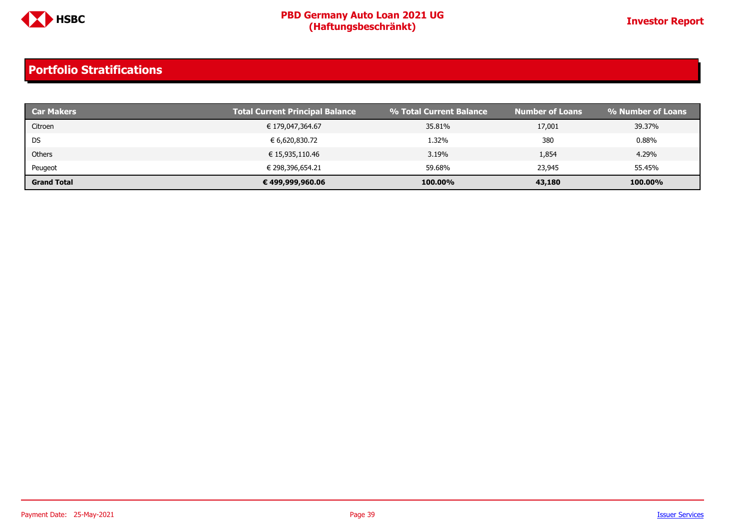

| <b>Car Makers</b>  | <b>Total Current Principal Balance</b> | % Total Current Balance | <b>Number of Loans</b> | % Number of Loans |
|--------------------|----------------------------------------|-------------------------|------------------------|-------------------|
| Citroen            | € 179,047,364.67                       | 35.81%                  | 17,001                 | 39.37%            |
| DS                 | € 6,620,830.72                         | 1.32%                   | 380                    | 0.88%             |
| Others             | € 15,935,110.46                        | 3.19%                   | 1,854                  | 4.29%             |
| Peugeot            | € 298,396,654.21                       | 59.68%                  | 23,945                 | 55.45%            |
| <b>Grand Total</b> | € 499,999,960.06                       | 100.00%                 | 43,180                 | 100.00%           |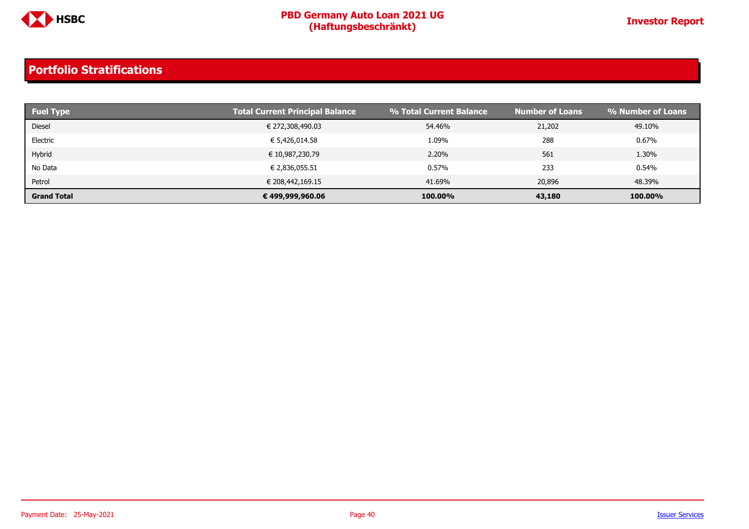

| <b>Fuel Type</b>   | <b>Total Current Principal Balance</b> | % Total Current Balance | <b>Number of Loans</b> | % Number of Loans |
|--------------------|----------------------------------------|-------------------------|------------------------|-------------------|
| <b>Diesel</b>      | € 272,308,490.03                       | 54.46%                  | 21,202                 | 49.10%            |
| Electric           | € 5,426,014.58                         | 1.09%                   | 288                    | 0.67%             |
| Hybrid             | € 10,987,230.79                        | 2.20%                   | 561                    | 1.30%             |
| No Data            | € 2,836,055.51                         | 0.57%                   | 233                    | 0.54%             |
| Petrol             | € 208,442,169.15                       | 41.69%                  | 20,896                 | 48.39%            |
| <b>Grand Total</b> | € 499,999,960.06                       | 100.00%                 | 43,180                 | 100.00%           |